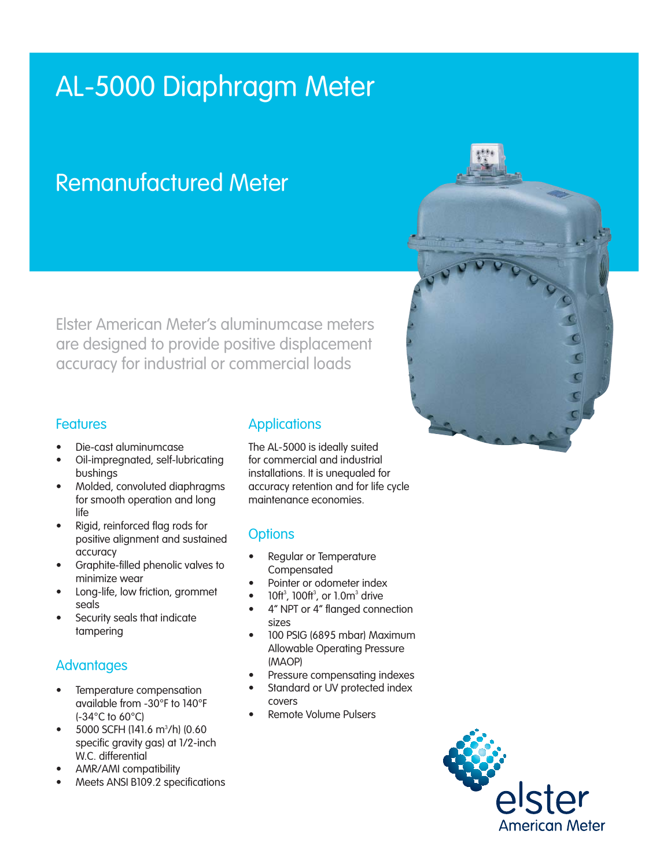# AL-5000 Diaphragm Meter

# Remanufactured Meter

Elster American Meter's aluminumcase meters are designed to provide positive displacement accuracy for industrial or commercial loads

#### Features

- Die-cast aluminumcase
- Oil-impregnated, self-lubricating bushings
- Molded, convoluted diaphragms for smooth operation and long life
- Rigid, reinforced flag rods for positive alignment and sustained accuracy
- Graphite-filled phenolic valves to minimize wear
- Long-life, low friction, grommet seals
- Security seals that indicate tampering

## **Advantages**

- Temperature compensation available from -30°F to 140°F (-34°C to 60°C)
- $\bullet$  5000 SCFH (141.6 m<sup>3</sup>/h) (0.60 specific gravity gas) at 1/2-inch W.C. differential
- AMR/AMI compatibility
- Meets ANSI B109.2 specifications

## **Applications**

The AL-5000 is ideally suited for commercial and industrial installations. It is unequaled for accuracy retention and for life cycle maintenance economies.

## **Options**

- Regular or Temperature **Compensated**
- Pointer or odometer index
- $\bullet$  10ft<sup>3</sup>, 100ft<sup>3</sup>, or 1.0m<sup>3</sup> drive
- 4" NPT or 4" flanged connection sizes
- 100 PSIG (6895 mbar) Maximum Allowable Operating Pressure (MAOP)
- Pressure compensating indexes
- Standard or UV protected index covers
- Remote Volume Pulsers